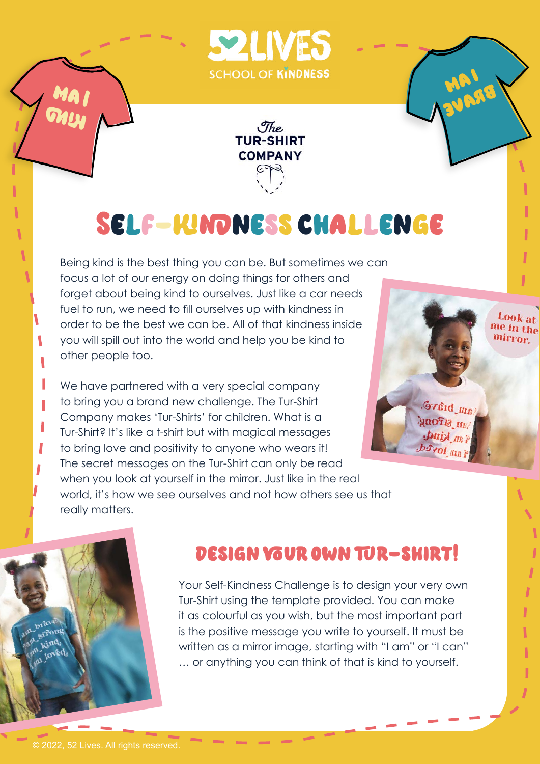



# Self-kindnesschallenge

Being kind is the best thing you can be. But sometimes we can focus a lot of our energy on doing things for others and forget about being kind to ourselves. Just like a car needs fuel to run, we need to fill ourselves up with kindness in order to be the best we can be. All of that kindness inside you will spill out into the world and help you be kind to other people too.

We have partnered with a very special company to bring you a brand new challenge. The Tur-Shirt Company makes 'Tur-Shirts' for children. What is a Tur-Shirt? It's like a t-shirt but with magical messages to bring love and positivity to anyone who wears it! The secret messages on the Tur-Shirt can only be read when you look at yourself in the mirror. Just like in the real world, it's how we see ourselves and not how others see us that really matters.



i am

brave



MA I

GALLY

۱

ı

Π

### design your own tur-shirt!

Your Self-Kindness Challenge is to design your very own Tur-Shirt using the template provided. You can make it as colourful as you wish, but the most important part is the positive message you write to yourself. It must be written as a mirror image, starting with "I am" or "I can" … or anything you can think of that is kind to yourself.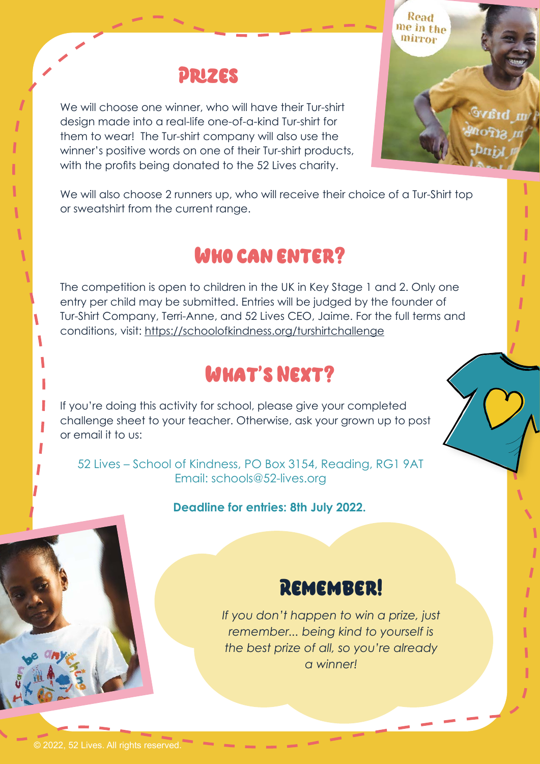### Prizes

We will choose one winner, who will have their Tur-shirt design made into a real-life one-of-a-kind Tur-shirt for them to wear! The Tur-shirt company will also use the winner's positive words on one of their Tur-shirt products, with the profits being donated to the 52 Lives charity.



We will also choose 2 runners up, who will receive their choice of a Tur-Shirt top or sweatshirt from the current range.

## Who can enter?

The competition is open to children in the UK in Key Stage 1 and 2. Only one entry per child may be submitted. Entries will be judged by the founder of Tur-Shirt Company, Terri-Anne, and 52 Lives CEO, Jaime. For the full terms and conditions, visit: <https://schoolofkindness.org/turshirtchallenge>

## What's Next?

If you're doing this activity for school, please give your completed challenge sheet to your teacher. Otherwise, ask your grown up to post or email it to us:

52 Lives – School of Kindness, PO Box 3154, Reading, RG1 9AT Email: schools@52-lives.org

#### **Deadline for entries: 8th July 2022.**



*If you don't happen to win a prize, just remember... being kind to yourself is the best prize of all, so you're already a winner!*

ı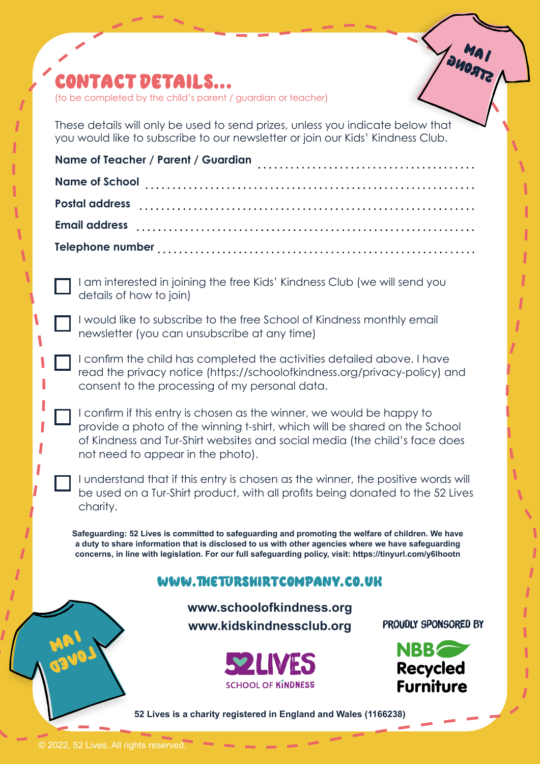## contact details...

(to be completed by the child's parent / guardian or teacher)

These details will only be used to send prizes, unless you indicate below that you would like to subscribe to our newsletter or join our Kids' Kindness Club.

I am interested in joining the free Kids' Kindness Club (we will send you details of how to join)

I would like to subscribe to the free School of Kindness monthly email newsletter (you can unsubscribe at any time)

I confirm the child has completed the activities detailed above. I have read the privacy notice (<https://schoolofkindness.org/privacy-policy>) and consent to the processing of my personal data.

I confirm if this entry is chosen as the winner, we would be happy to provide a photo of the winning t-shirt, which will be shared on the School of Kindness and Tur-Shirt websites and social media (the child's face does not need to appear in the photo).

I understand that if this entry is chosen as the winner, the positive words will be used on a Tur-Shirt product, with all profits being donated to the 52 Lives charity.

**Safeguarding: 52 Lives is committed to safeguarding and promoting the welfare of children. We have a duty to share information that is disclosed to us with other agencies where we have safeguarding concerns, in line with legislation. For our full safeguarding policy, visit:<https://tinyurl.com/y6lhootn>**

#### [www.theturshirtcompany.co.uk](http://www.theturshirtcompany.co.uk)

**[www.schoolofkindness.org](http://www.schoolofkindness.org ) [www.kidskindnessclub.org](http://www.kidskindnessclub.org  )**

PROUDLY SPONSORED BY

Mai **PAGNG** 





**52 Lives is a charity registered in England and Wales (1166238)** 

i am

**Canoy**